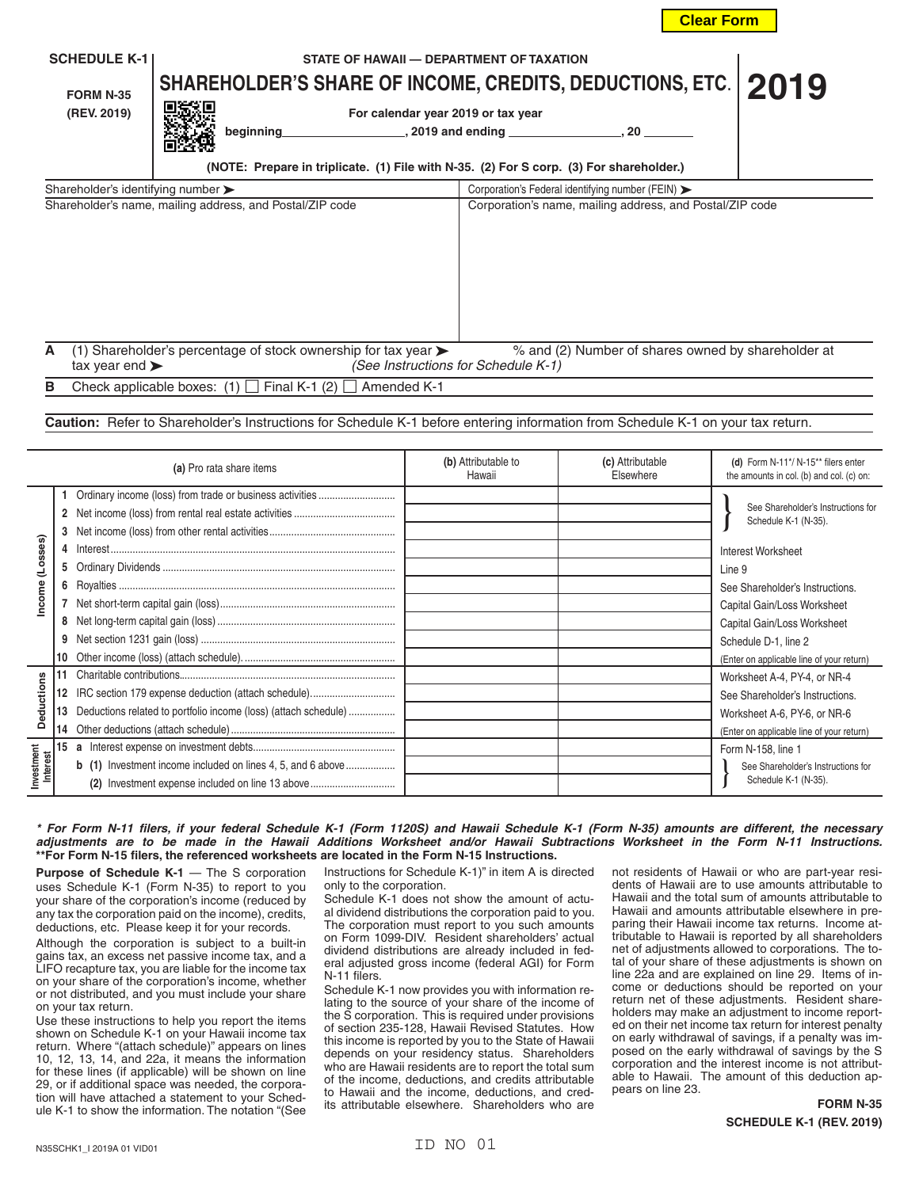| <b>SCHEDULE K-1</b><br><b>FORM N-35</b><br>(REV. 2019)                                                                                                                                                 | STATE OF HAWAII - DEPARTMENT OF TAXATION<br>SHAREHOLDER'S SHARE OF INCOME, CREDITS, DEDUCTIONS, ETC.  <br>For calendar year 2019 or tax year<br>beginning | , 2019 and ending<br>. 20                                                                 | 2019 |  |  |  |
|--------------------------------------------------------------------------------------------------------------------------------------------------------------------------------------------------------|-----------------------------------------------------------------------------------------------------------------------------------------------------------|-------------------------------------------------------------------------------------------|------|--|--|--|
| (NOTE: Prepare in triplicate. (1) File with N-35. (2) For S corp. (3) For shareholder.)<br>Shareholder's identifying number $\blacktriangleright$<br>Corporation's Federal identifying number (FEIN) > |                                                                                                                                                           |                                                                                           |      |  |  |  |
|                                                                                                                                                                                                        | Shareholder's name, mailing address, and Postal/ZIP code                                                                                                  | Corporation's name, mailing address, and Postal/ZIP code                                  |      |  |  |  |
| A<br>tax year end $\blacktriangleright$                                                                                                                                                                | (1) Shareholder's percentage of stock ownership for tax year $\blacktriangleright$                                                                        | % and (2) Number of shares owned by shareholder at<br>(See Instructions for Schedule K-1) |      |  |  |  |

**B** Check applicable boxes:  $(1)$   $\Box$  Final K-1  $(2)$   $\Box$  Amended K-1

**Caution:** Refer to Shareholder's Instructions for Schedule K-1 before entering information from Schedule K-1 on your tax return.

| (a) Pro rata share items                    |        |                                                                                                                                                                                           | (b) Attributable to<br>Hawaii | (c) Attributable<br>Fisewhere | (d) Form N-11*/ N-15** filers enter<br>the amounts in col. (b) and col. (c) on:                                                                                                                                                                                               |
|---------------------------------------------|--------|-------------------------------------------------------------------------------------------------------------------------------------------------------------------------------------------|-------------------------------|-------------------------------|-------------------------------------------------------------------------------------------------------------------------------------------------------------------------------------------------------------------------------------------------------------------------------|
| (Losses)<br>Income                          | 4<br>5 |                                                                                                                                                                                           |                               |                               | See Shareholder's Instructions for<br>Schedule K-1 (N-35).<br><b>Interest Worksheet</b><br>Line 9<br>See Shareholder's Instructions.<br>Capital Gain/Loss Worksheet<br>Capital Gain/Loss Worksheet<br>Schedule D-1, line 2                                                    |
| <b>Deductions</b><br>Investment<br>Interest | 13     | Deductions related to portfolio income (loss) (attach schedule)<br><b>b</b> (1) Investment income included on lines 4, 5, and 6 above<br>(2) Investment expense included on line 13 above |                               |                               | (Enter on applicable line of your return)<br>Worksheet A-4, PY-4, or NR-4<br>See Shareholder's Instructions.<br>Worksheet A-6, PY-6, or NR-6<br>(Enter on applicable line of your return)<br>Form N-158, line 1<br>See Shareholder's Instructions for<br>Schedule K-1 (N-35). |

## *\* For Form N-11 filers, if your federal Schedule K-1 (Form 1120S) and Hawaii Schedule K-1 (Form N-35) amounts are different, the necessary adjustments are to be made in the Hawaii Additions Worksheet and/or Hawaii Subtractions Worksheet in the Form N-11 Instructions.* **\*\*For Form N-15 filers, the referenced worksheets are located in the Form N-15 Instructions.**

**Purpose of Schedule K-1** — The S corporation uses Schedule K-1 (Form N-35) to report to you your share of the corporation's income (reduced by any tax the corporation paid on the income), credits, deductions, etc. Please keep it for your records.

Although the corporation is subject to a built-in gains tax, an excess net passive income tax, and a LIFO recapture tax, you are liable for the income tax on your share of the corporation's income, whether or not distributed, and you must include your share on your tax return.

Use these instructions to help you report the items shown on Schedule K-1 on your Hawaii income tax return. Where "(attach schedule)" appears on lines 10, 12, 13, 14, and 22a, it means the information for these lines (if applicable) will be shown on line 29, or if additional space was needed, the corporation will have attached a statement to your Schedule K-1 to show the information. The notation "(See

Instructions for Schedule K-1)" in item A is directed only to the corporation.

Schedule K-1 does not show the amount of actual dividend distributions the corporation paid to you. The corporation must report to you such amounts on Form 1099-DIV. Resident shareholders' actual dividend distributions are already included in federal adjusted gross income (federal AGI) for Form N-11 filers.

Schedule K-1 now provides you with information relating to the source of your share of the income of the S corporation. This is required under provisions of section 235-128, Hawaii Revised Statutes. How this income is reported by you to the State of Hawaii depends on your residency status. Shareholders who are Hawaii residents are to report the total sum of the income, deductions, and credits attributable to Hawaii and the income, deductions, and credits attributable elsewhere. Shareholders who are

not residents of Hawaii or who are part-year residents of Hawaii are to use amounts attributable to Hawaii and the total sum of amounts attributable to Hawaii and amounts attributable elsewhere in preparing their Hawaii income tax returns. Income attributable to Hawaii is reported by all shareholders net of adjustments allowed to corporations. The total of your share of these adjustments is shown on line 22a and are explained on line 29. Items of income or deductions should be reported on your return net of these adjustments. Resident shareholders may make an adjustment to income reported on their net income tax return for interest penalty on early withdrawal of savings, if a penalty was imposed on the early withdrawal of savings by the S corporation and the interest income is not attributable to Hawaii. The amount of this deduction appears on line 23.

**Clear Form**